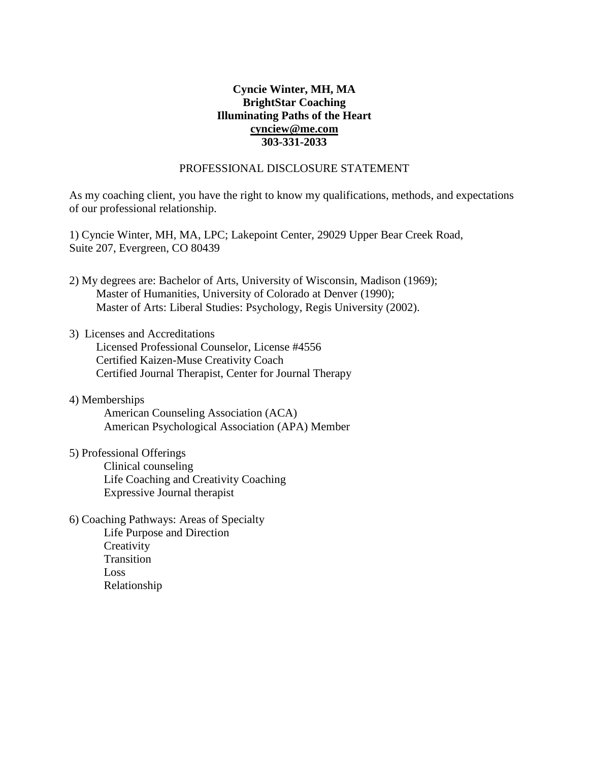# **Cyncie Winter, MH, MA BrightStar Coaching Illuminating Paths of the Heart [cynciew@me.com](mailto:cynciew@me.com) 303-331-2033**

#### PROFESSIONAL DISCLOSURE STATEMENT

As my coaching client, you have the right to know my qualifications, methods, and expectations of our professional relationship.

1) Cyncie Winter, MH, MA, LPC; Lakepoint Center, 29029 Upper Bear Creek Road, Suite 207, Evergreen, CO 80439

2) My degrees are: Bachelor of Arts, University of Wisconsin, Madison (1969); Master of Humanities, University of Colorado at Denver (1990); Master of Arts: Liberal Studies: Psychology, Regis University (2002).

### 3) Licenses and Accreditations

- Licensed Professional Counselor, License #4556 Certified Kaizen-Muse Creativity Coach Certified Journal Therapist, Center for Journal Therapy
- 4) Memberships American Counseling Association (ACA) American Psychological Association (APA) Member
- 5) Professional Offerings Clinical counseling Life Coaching and Creativity Coaching Expressive Journal therapist
- 6) Coaching Pathways: Areas of Specialty Life Purpose and Direction **Creativity** Transition Loss Relationship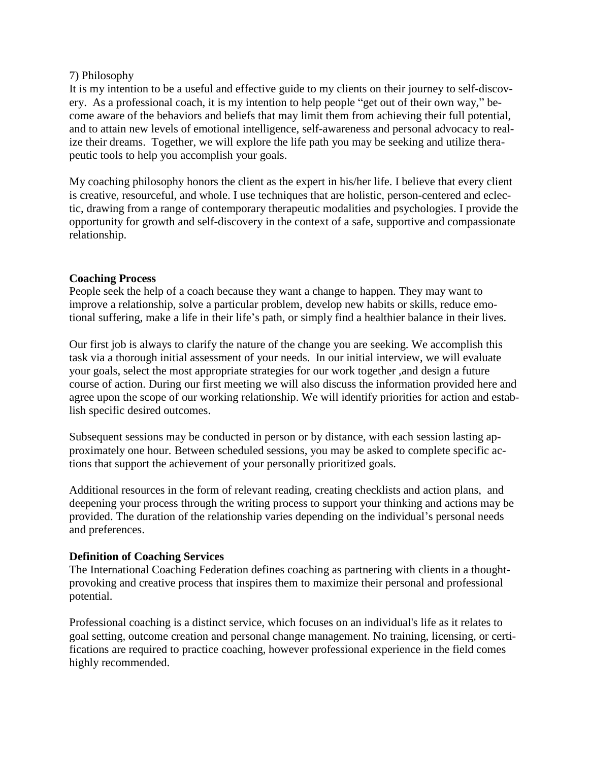### 7) Philosophy

It is my intention to be a useful and effective guide to my clients on their journey to self-discovery. As a professional coach, it is my intention to help people "get out of their own way," become aware of the behaviors and beliefs that may limit them from achieving their full potential, and to attain new levels of emotional intelligence, self-awareness and personal advocacy to realize their dreams. Together, we will explore the life path you may be seeking and utilize therapeutic tools to help you accomplish your goals.

My coaching philosophy honors the client as the expert in his/her life. I believe that every client is creative, resourceful, and whole. I use techniques that are holistic, person-centered and eclectic, drawing from a range of contemporary therapeutic modalities and psychologies. I provide the opportunity for growth and self-discovery in the context of a safe, supportive and compassionate relationship.

## **Coaching Process**

People seek the help of a coach because they want a change to happen. They may want to improve a relationship, solve a particular problem, develop new habits or skills, reduce emotional suffering, make a life in their life's path, or simply find a healthier balance in their lives.

Our first job is always to clarify the nature of the change you are seeking. We accomplish this task via a thorough initial assessment of your needs. In our initial interview, we will evaluate your goals, select the most appropriate strategies for our work together ,and design a future course of action. During our first meeting we will also discuss the information provided here and agree upon the scope of our working relationship. We will identify priorities for action and establish specific desired outcomes.

Subsequent sessions may be conducted in person or by distance, with each session lasting approximately one hour. Between scheduled sessions, you may be asked to complete specific actions that support the achievement of your personally prioritized goals.

Additional resources in the form of relevant reading, creating checklists and action plans, and deepening your process through the writing process to support your thinking and actions may be provided. The duration of the relationship varies depending on the individual's personal needs and preferences.

#### **Definition of Coaching Services**

The International Coaching Federation defines coaching as partnering with clients in a thoughtprovoking and creative process that inspires them to maximize their personal and professional potential.

Professional coaching is a distinct service, which focuses on an individual's life as it relates to goal setting, outcome creation and personal change management. No training, licensing, or certifications are required to practice coaching, however professional experience in the field comes highly recommended.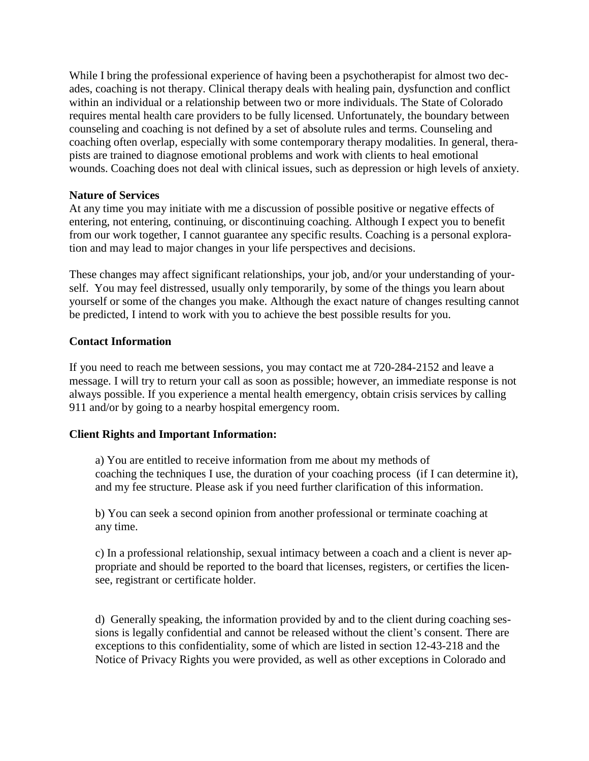While I bring the professional experience of having been a psychotherapist for almost two decades, coaching is not therapy. Clinical therapy deals with healing pain, dysfunction and conflict within an individual or a relationship between two or more individuals. The State of Colorado requires mental health care providers to be fully licensed. Unfortunately, the boundary between counseling and coaching is not defined by a set of absolute rules and terms. Counseling and coaching often overlap, especially with some contemporary therapy modalities. In general, therapists are trained to diagnose emotional problems and work with clients to heal emotional wounds. Coaching does not deal with clinical issues, such as depression or high levels of anxiety.

## **Nature of Services**

At any time you may initiate with me a discussion of possible positive or negative effects of entering, not entering, continuing, or discontinuing coaching. Although I expect you to benefit from our work together, I cannot guarantee any specific results. Coaching is a personal exploration and may lead to major changes in your life perspectives and decisions.

These changes may affect significant relationships, your job, and/or your understanding of yourself. You may feel distressed, usually only temporarily, by some of the things you learn about yourself or some of the changes you make. Although the exact nature of changes resulting cannot be predicted, I intend to work with you to achieve the best possible results for you.

## **Contact Information**

If you need to reach me between sessions, you may contact me at 720-284-2152 and leave a message. I will try to return your call as soon as possible; however, an immediate response is not always possible. If you experience a mental health emergency, obtain crisis services by calling 911 and/or by going to a nearby hospital emergency room.

# **Client Rights and Important Information:**

a) You are entitled to receive information from me about my methods of coaching the techniques I use, the duration of your coaching process (if I can determine it), and my fee structure. Please ask if you need further clarification of this information.

b) You can seek a second opinion from another professional or terminate coaching at any time.

c) In a professional relationship, sexual intimacy between a coach and a client is never appropriate and should be reported to the board that licenses, registers, or certifies the licensee, registrant or certificate holder.

d) Generally speaking, the information provided by and to the client during coaching sessions is legally confidential and cannot be released without the client's consent. There are exceptions to this confidentiality, some of which are listed in section 12-43-218 and the Notice of Privacy Rights you were provided, as well as other exceptions in Colorado and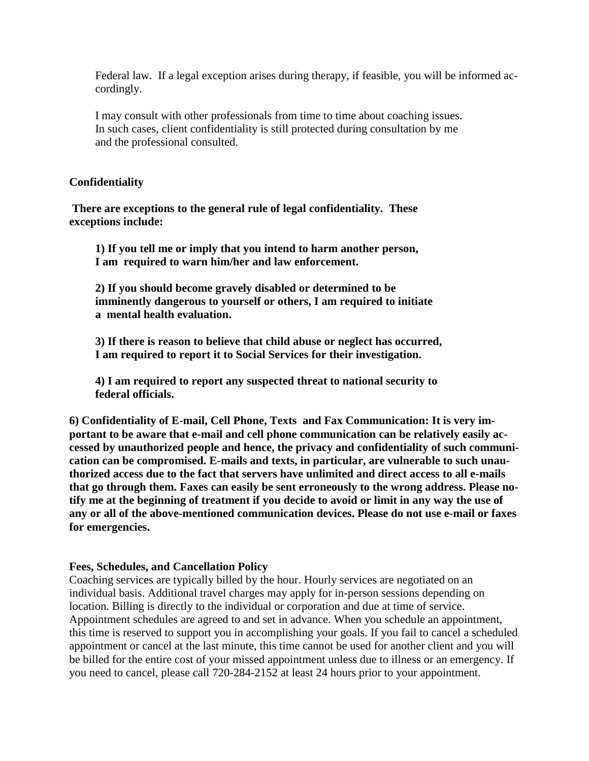Federal law. If a legal exception arises during therapy, if feasible, you will be informed accordingly.

I may consult with other professionals from time to time about coaching issues. In such cases, client confidentiality is still protected during consultation by me and the professional consulted.

#### **Confidentiality**

**There are exceptions to the general rule of legal confidentiality. These exceptions include:**

**1) If you tell me or imply that you intend to harm another person, I am required to warn him/her and law enforcement.**

**2) If you should become gravely disabled or determined to be imminently dangerous to yourself or others, I am required to initiate a mental health evaluation.**

**3) If there is reason to believe that child abuse or neglect has occurred, I am required to report it to Social Services for their investigation.**

**4) I am required to report any suspected threat to national security to federal officials.**

**6) Confidentiality of E-mail, Cell Phone, Texts and Fax Communication: It is very important to be aware that e-mail and cell phone communication can be relatively easily accessed by unauthorized people and hence, the privacy and confidentiality of such communication can be compromised. E-mails and texts, in particular, are vulnerable to such unauthorized access due to the fact that servers have unlimited and direct access to all e-mails that go through them. Faxes can easily be sent erroneously to the wrong address. Please no**tify me at the beginning of treatment if you decide to avoid or limit in any way the use of **any or all of the above-mentioned communication devices. Please do not use e-mail or faxes for emergencies.**

#### **Fees, Schedules, and Cancellation Policy**

Coaching services are typically billed by the hour. Hourly services are negotiated on an individual basis. Additional travel charges may apply for in-person sessions depending on location. Billing is directly to the individual or corporation and due at time of service. Appointment schedules are agreed to and set in advance. When you schedule an appointment, this time is reserved to support you in accomplishing your goals. If you fail to cancel a scheduled appointment or cancel at the last minute, this time cannot be used for another client and you will be billed for the entire cost of your missed appointment unless due to illness or an emergency. If you need to cancel, please call 720-284-2152 at least 24 hours prior to your appointment.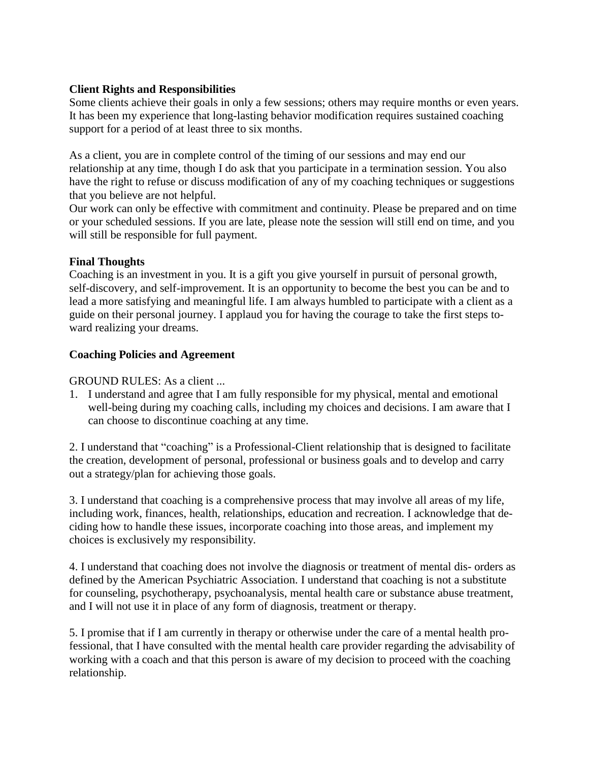# **Client Rights and Responsibilities**

Some clients achieve their goals in only a few sessions; others may require months or even years. It has been my experience that long-lasting behavior modification requires sustained coaching support for a period of at least three to six months.

As a client, you are in complete control of the timing of our sessions and may end our relationship at any time, though I do ask that you participate in a termination session. You also have the right to refuse or discuss modification of any of my coaching techniques or suggestions that you believe are not helpful.

Our work can only be effective with commitment and continuity. Please be prepared and on time or your scheduled sessions. If you are late, please note the session will still end on time, and you will still be responsible for full payment.

# **Final Thoughts**

Coaching is an investment in you. It is a gift you give yourself in pursuit of personal growth, self-discovery, and self-improvement. It is an opportunity to become the best you can be and to lead a more satisfying and meaningful life. I am always humbled to participate with a client as a guide on their personal journey. I applaud you for having the courage to take the first steps toward realizing your dreams.

# **Coaching Policies and Agreement**

GROUND RULES: As a client ...

1. I understand and agree that I am fully responsible for my physical, mental and emotional well-being during my coaching calls, including my choices and decisions. I am aware that I can choose to discontinue coaching at any time.

2. I understand that "coaching" is a Professional-Client relationship that is designed to facilitate the creation, development of personal, professional or business goals and to develop and carry out a strategy/plan for achieving those goals.

3. I understand that coaching is a comprehensive process that may involve all areas of my life, including work, finances, health, relationships, education and recreation. I acknowledge that deciding how to handle these issues, incorporate coaching into those areas, and implement my choices is exclusively my responsibility.

4. I understand that coaching does not involve the diagnosis or treatment of mental dis- orders as defined by the American Psychiatric Association. I understand that coaching is not a substitute for counseling, psychotherapy, psychoanalysis, mental health care or substance abuse treatment, and I will not use it in place of any form of diagnosis, treatment or therapy.

5. I promise that if I am currently in therapy or otherwise under the care of a mental health professional, that I have consulted with the mental health care provider regarding the advisability of working with a coach and that this person is aware of my decision to proceed with the coaching relationship.